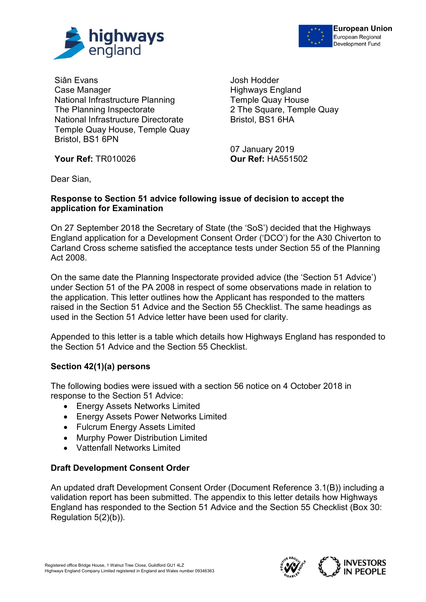



Siân Evans Case Manager National Infrastructure Planning The Planning Inspectorate National Infrastructure Directorate Temple Quay House, Temple Quay Bristol, BS1 6PN

**Your Ref:** TR010026 **Our Ref:** HA551502

Josh Hodder Highways England Temple Quay House 2 The Square, Temple Quay Bristol, BS1 6HA

07 January 2019

Dear Sian,

## **Response to Section 51 advice following issue of decision to accept the application for Examination**

On 27 September 2018 the Secretary of State (the 'SoS') decided that the Highways England application for a Development Consent Order ('DCO') for the A30 Chiverton to Carland Cross scheme satisfied the acceptance tests under Section 55 of the Planning Act 2008.

On the same date the Planning Inspectorate provided advice (the 'Section 51 Advice') under Section 51 of the PA 2008 in respect of some observations made in relation to the application. This letter outlines how the Applicant has responded to the matters raised in the Section 51 Advice and the Section 55 Checklist. The same headings as used in the Section 51 Advice letter have been used for clarity.

Appended to this letter is a table which details how Highways England has responded to the Section 51 Advice and the Section 55 Checklist.

# **Section 42(1)(a) persons**

The following bodies were issued with a section 56 notice on 4 October 2018 in response to the Section 51 Advice:

- Energy Assets Networks Limited
- Energy Assets Power Networks Limited
- Fulcrum Energy Assets Limited
- Murphy Power Distribution Limited
- Vattenfall Networks Limited

# **Draft Development Consent Order**

An updated draft Development Consent Order (Document Reference 3.1(B)) including a validation report has been submitted. The appendix to this letter details how Highways England has responded to the Section 51 Advice and the Section 55 Checklist (Box 30: Regulation 5(2)(b)).

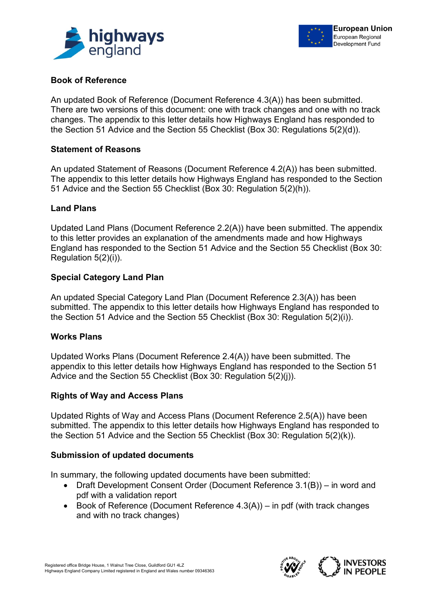



## **Book of Reference**

An updated Book of Reference (Document Reference 4.3(A)) has been submitted. There are two versions of this document: one with track changes and one with no track changes. The appendix to this letter details how Highways England has responded to the Section 51 Advice and the Section 55 Checklist (Box 30: Regulations 5(2)(d)).

## **Statement of Reasons**

An updated Statement of Reasons (Document Reference 4.2(A)) has been submitted. The appendix to this letter details how Highways England has responded to the Section 51 Advice and the Section 55 Checklist (Box 30: Regulation 5(2)(h)).

## **Land Plans**

Updated Land Plans (Document Reference 2.2(A)) have been submitted. The appendix to this letter provides an explanation of the amendments made and how Highways England has responded to the Section 51 Advice and the Section 55 Checklist (Box 30: Regulation 5(2)(i)).

## **Special Category Land Plan**

An updated Special Category Land Plan (Document Reference 2.3(A)) has been submitted. The appendix to this letter details how Highways England has responded to the Section 51 Advice and the Section 55 Checklist (Box 30: Regulation 5(2)(i)).

#### **Works Plans**

Updated Works Plans (Document Reference 2.4(A)) have been submitted. The appendix to this letter details how Highways England has responded to the Section 51 Advice and the Section 55 Checklist (Box 30: Regulation 5(2)(j)).

#### **Rights of Way and Access Plans**

Updated Rights of Way and Access Plans (Document Reference 2.5(A)) have been submitted. The appendix to this letter details how Highways England has responded to the Section 51 Advice and the Section 55 Checklist (Box 30: Regulation 5(2)(k)).

#### **Submission of updated documents**

In summary, the following updated documents have been submitted:

- Draft Development Consent Order (Document Reference 3.1(B)) in word and pdf with a validation report
- Book of Reference (Document Reference 4.3(A)) in pdf (with track changes and with no track changes)

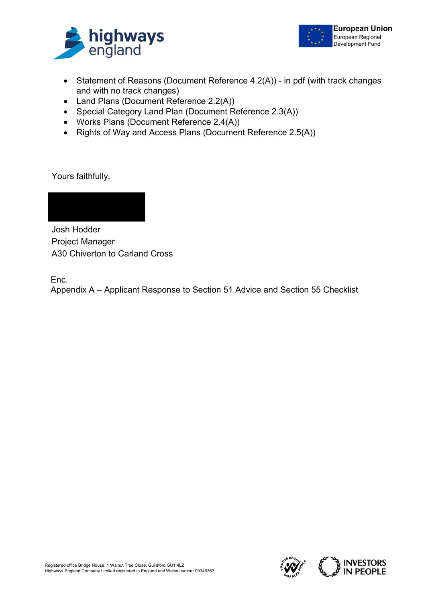



- Statement of Reasons (Document Reference 4.2(A)) in pdf (with track changes and with no track changes)
- Land Plans (Document Reference 2.2(A))
- Special Category Land Plan (Document Reference 2.3(A))
- Works Plans (Document Reference 2.4(A))
- Rights of Way and Access Plans (Document Reference 2.5(A))

Yours faithfully,

Josh Hodder

Project Manager A30 Chiverton to Carland Cross

Enc.

Appendix A – Applicant Response to Section 51 Advice and Section 55 Checklist

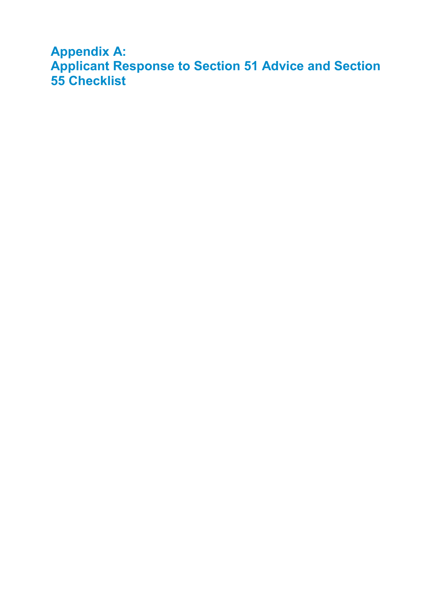**Appendix A: Applicant Response to Section 51 Advice and Section 55 Checklist**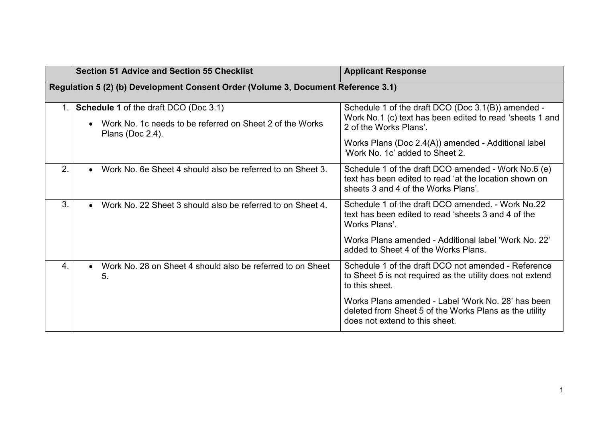|                  | <b>Section 51 Advice and Section 55 Checklist</b>                                                                            | <b>Applicant Response</b>                                                                                                                                                                                                          |
|------------------|------------------------------------------------------------------------------------------------------------------------------|------------------------------------------------------------------------------------------------------------------------------------------------------------------------------------------------------------------------------------|
|                  | Regulation 5 (2) (b) Development Consent Order (Volume 3, Document Reference 3.1)                                            |                                                                                                                                                                                                                                    |
| 1.               | <b>Schedule 1 of the draft DCO (Doc 3.1)</b><br>Work No. 1c needs to be referred on Sheet 2 of the Works<br>Plans (Doc 2.4). | Schedule 1 of the draft DCO (Doc 3.1(B)) amended -<br>Work No.1 (c) text has been edited to read 'sheets 1 and<br>2 of the Works Plans'.<br>Works Plans (Doc 2.4(A)) amended - Additional label<br>'Work No. 1c' added to Sheet 2. |
| 2.               | Work No. 6e Sheet 4 should also be referred to on Sheet 3.                                                                   | Schedule 1 of the draft DCO amended - Work No.6 (e)<br>text has been edited to read 'at the location shown on<br>sheets 3 and 4 of the Works Plans'.                                                                               |
| 3.               | Work No. 22 Sheet 3 should also be referred to on Sheet 4.                                                                   | Schedule 1 of the draft DCO amended. - Work No.22<br>text has been edited to read 'sheets 3 and 4 of the<br>Works Plans'.                                                                                                          |
|                  |                                                                                                                              | Works Plans amended - Additional label 'Work No. 22'<br>added to Sheet 4 of the Works Plans.                                                                                                                                       |
| $\overline{4}$ . | Work No. 28 on Sheet 4 should also be referred to on Sheet<br>5.                                                             | Schedule 1 of the draft DCO not amended - Reference<br>to Sheet 5 is not required as the utility does not extend<br>to this sheet.                                                                                                 |
|                  |                                                                                                                              | Works Plans amended - Label 'Work No. 28' has been<br>deleted from Sheet 5 of the Works Plans as the utility<br>does not extend to this sheet.                                                                                     |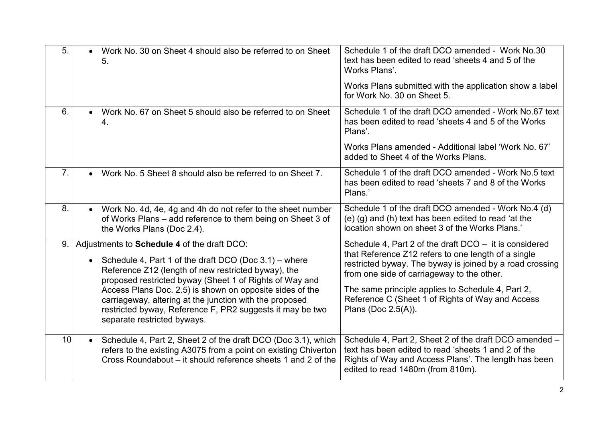| 5.             | Work No. 30 on Sheet 4 should also be referred to on Sheet<br>5.                                                                                                                                                                                                                   | Schedule 1 of the draft DCO amended - Work No.30<br>text has been edited to read 'sheets 4 and 5 of the<br>Works Plans'.                                                                                                                                                          |
|----------------|------------------------------------------------------------------------------------------------------------------------------------------------------------------------------------------------------------------------------------------------------------------------------------|-----------------------------------------------------------------------------------------------------------------------------------------------------------------------------------------------------------------------------------------------------------------------------------|
|                |                                                                                                                                                                                                                                                                                    | Works Plans submitted with the application show a label<br>for Work No. 30 on Sheet 5.                                                                                                                                                                                            |
| 6.             | Work No. 67 on Sheet 5 should also be referred to on Sheet<br>4.                                                                                                                                                                                                                   | Schedule 1 of the draft DCO amended - Work No.67 text<br>has been edited to read 'sheets 4 and 5 of the Works<br>Plans'.                                                                                                                                                          |
|                |                                                                                                                                                                                                                                                                                    | Works Plans amended - Additional label 'Work No. 67'<br>added to Sheet 4 of the Works Plans.                                                                                                                                                                                      |
| 7 <sub>1</sub> | • Work No. 5 Sheet 8 should also be referred to on Sheet 7.                                                                                                                                                                                                                        | Schedule 1 of the draft DCO amended - Work No.5 text<br>has been edited to read 'sheets 7 and 8 of the Works<br>Plans.'                                                                                                                                                           |
| 8.             | Work No. 4d, 4e, 4g and 4h do not refer to the sheet number<br>$\bullet$<br>of Works Plans - add reference to them being on Sheet 3 of<br>the Works Plans (Doc 2.4).                                                                                                               | Schedule 1 of the draft DCO amended - Work No.4 (d)<br>(e) (g) and (h) text has been edited to read 'at the<br>location shown on sheet 3 of the Works Plans.'                                                                                                                     |
| 9.1            | Adjustments to Schedule 4 of the draft DCO:<br>Schedule 4, Part 1 of the draft DCO (Doc 3.1) – where<br>Reference Z12 (length of new restricted byway), the<br>proposed restricted byway (Sheet 1 of Rights of Way and<br>Access Plans Doc. 2.5) is shown on opposite sides of the | Schedule 4, Part 2 of the draft $DCO - it$ it is considered<br>that Reference Z12 refers to one length of a single<br>restricted byway. The byway is joined by a road crossing<br>from one side of carriageway to the other.<br>The same principle applies to Schedule 4, Part 2, |
|                | carriageway, altering at the junction with the proposed<br>restricted byway, Reference F, PR2 suggests it may be two<br>separate restricted byways.                                                                                                                                | Reference C (Sheet 1 of Rights of Way and Access<br>Plans (Doc 2.5(A)).                                                                                                                                                                                                           |
| 10             | Schedule 4, Part 2, Sheet 2 of the draft DCO (Doc 3.1), which<br>refers to the existing A3075 from a point on existing Chiverton<br>Cross Roundabout – it should reference sheets 1 and 2 of the                                                                                   | Schedule 4, Part 2, Sheet 2 of the draft DCO amended -<br>text has been edited to read 'sheets 1 and 2 of the<br>Rights of Way and Access Plans'. The length has been<br>edited to read 1480m (from 810m).                                                                        |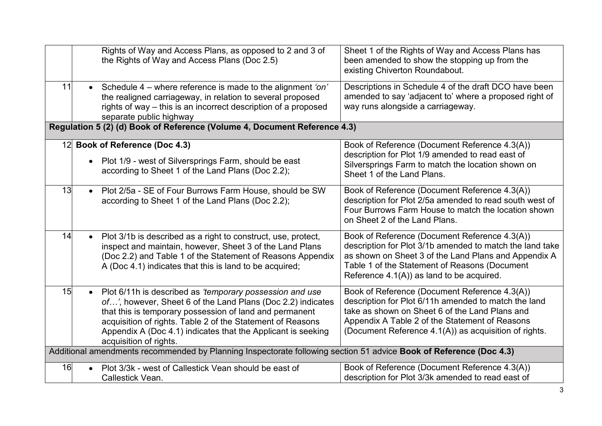|    |           | Rights of Way and Access Plans, as opposed to 2 and 3 of<br>the Rights of Way and Access Plans (Doc 2.5)                                                                                                                                                                                                                                   | Sheet 1 of the Rights of Way and Access Plans has<br>been amended to show the stopping up from the<br>existing Chiverton Roundabout.                                                                                                                               |
|----|-----------|--------------------------------------------------------------------------------------------------------------------------------------------------------------------------------------------------------------------------------------------------------------------------------------------------------------------------------------------|--------------------------------------------------------------------------------------------------------------------------------------------------------------------------------------------------------------------------------------------------------------------|
| 11 |           | Schedule 4 – where reference is made to the alignment 'on'<br>the realigned carriageway, in relation to several proposed<br>rights of way – this is an incorrect description of a proposed<br>separate public highway                                                                                                                      | Descriptions in Schedule 4 of the draft DCO have been<br>amended to say 'adjacent to' where a proposed right of<br>way runs alongside a carriageway.                                                                                                               |
|    |           | Regulation 5 (2) (d) Book of Reference (Volume 4, Document Reference 4.3)                                                                                                                                                                                                                                                                  |                                                                                                                                                                                                                                                                    |
|    | $\bullet$ | 12 Book of Reference (Doc 4.3)<br>Plot 1/9 - west of Silversprings Farm, should be east<br>according to Sheet 1 of the Land Plans (Doc 2.2);                                                                                                                                                                                               | Book of Reference (Document Reference 4.3(A))<br>description for Plot 1/9 amended to read east of<br>Silversprings Farm to match the location shown on<br>Sheet 1 of the Land Plans.                                                                               |
| 13 | $\bullet$ | Plot 2/5a - SE of Four Burrows Farm House, should be SW<br>according to Sheet 1 of the Land Plans (Doc 2.2);                                                                                                                                                                                                                               | Book of Reference (Document Reference 4.3(A))<br>description for Plot 2/5a amended to read south west of<br>Four Burrows Farm House to match the location shown<br>on Sheet 2 of the Land Plans.                                                                   |
| 14 |           | Plot 3/1b is described as a right to construct, use, protect,<br>inspect and maintain, however, Sheet 3 of the Land Plans<br>(Doc 2.2) and Table 1 of the Statement of Reasons Appendix<br>A (Doc 4.1) indicates that this is land to be acquired;                                                                                         | Book of Reference (Document Reference 4.3(A))<br>description for Plot 3/1b amended to match the land take<br>as shown on Sheet 3 of the Land Plans and Appendix A<br>Table 1 of the Statement of Reasons (Document<br>Reference $4.1(A)$ ) as land to be acquired. |
| 15 | $\bullet$ | Plot 6/11h is described as 'temporary possession and use<br>of', however, Sheet 6 of the Land Plans (Doc 2.2) indicates<br>that this is temporary possession of land and permanent<br>acquisition of rights. Table 2 of the Statement of Reasons<br>Appendix A (Doc 4.1) indicates that the Applicant is seeking<br>acquisition of rights. | Book of Reference (Document Reference 4.3(A))<br>description for Plot 6/11h amended to match the land<br>take as shown on Sheet 6 of the Land Plans and<br>Appendix A Table 2 of the Statement of Reasons<br>(Document Reference 4.1(A)) as acquisition of rights. |
|    |           | Additional amendments recommended by Planning Inspectorate following section 51 advice Book of Reference (Doc 4.3)                                                                                                                                                                                                                         |                                                                                                                                                                                                                                                                    |
| 16 |           | Plot 3/3k - west of Callestick Vean should be east of<br>Callestick Vean.                                                                                                                                                                                                                                                                  | Book of Reference (Document Reference 4.3(A))<br>description for Plot 3/3k amended to read east of                                                                                                                                                                 |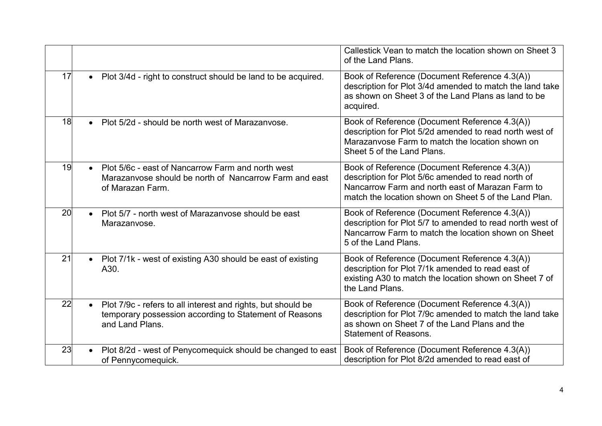|    |                                                                                                                                                        | Callestick Vean to match the location shown on Sheet 3<br>of the Land Plans.                                                                                                                                     |
|----|--------------------------------------------------------------------------------------------------------------------------------------------------------|------------------------------------------------------------------------------------------------------------------------------------------------------------------------------------------------------------------|
| 17 | • Plot 3/4d - right to construct should be land to be acquired.                                                                                        | Book of Reference (Document Reference 4.3(A))<br>description for Plot 3/4d amended to match the land take<br>as shown on Sheet 3 of the Land Plans as land to be<br>acquired.                                    |
| 18 | Plot 5/2d - should be north west of Marazanyose.<br>$\bullet$                                                                                          | Book of Reference (Document Reference 4.3(A))<br>description for Plot 5/2d amended to read north west of<br>Marazanvose Farm to match the location shown on<br>Sheet 5 of the Land Plans.                        |
| 19 | Plot 5/6c - east of Nancarrow Farm and north west<br>Marazanvose should be north of Nancarrow Farm and east<br>of Marazan Farm.                        | Book of Reference (Document Reference 4.3(A))<br>description for Plot 5/6c amended to read north of<br>Nancarrow Farm and north east of Marazan Farm to<br>match the location shown on Sheet 5 of the Land Plan. |
| 20 | Plot 5/7 - north west of Marazanvose should be east<br>$\bullet$<br>Marazanvose.                                                                       | Book of Reference (Document Reference 4.3(A))<br>description for Plot 5/7 to amended to read north west of<br>Nancarrow Farm to match the location shown on Sheet<br>5 of the Land Plans.                        |
| 21 | Plot 7/1k - west of existing A30 should be east of existing<br>$\bullet$<br>A30.                                                                       | Book of Reference (Document Reference 4.3(A))<br>description for Plot 7/1k amended to read east of<br>existing A30 to match the location shown on Sheet 7 of<br>the Land Plans.                                  |
| 22 | Plot 7/9c - refers to all interest and rights, but should be<br>$\bullet$<br>temporary possession according to Statement of Reasons<br>and Land Plans. | Book of Reference (Document Reference 4.3(A))<br>description for Plot 7/9c amended to match the land take<br>as shown on Sheet 7 of the Land Plans and the<br><b>Statement of Reasons.</b>                       |
| 23 | Plot 8/2d - west of Penycomequick should be changed to east<br>of Pennycomequick.                                                                      | Book of Reference (Document Reference 4.3(A))<br>description for Plot 8/2d amended to read east of                                                                                                               |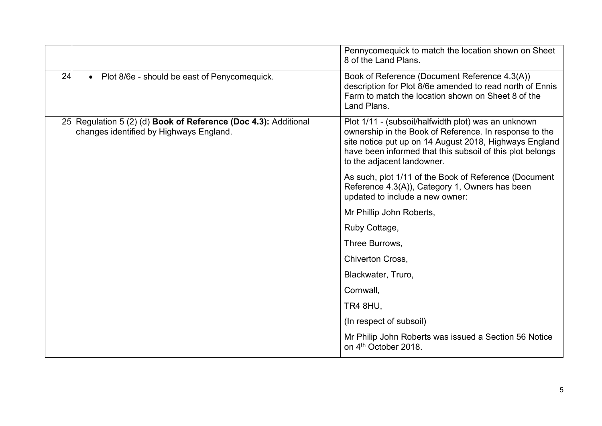|    |                                                                                                                   | Pennycomequick to match the location shown on Sheet<br>8 of the Land Plans.                                                                                                                                                                                        |
|----|-------------------------------------------------------------------------------------------------------------------|--------------------------------------------------------------------------------------------------------------------------------------------------------------------------------------------------------------------------------------------------------------------|
| 24 | Plot 8/6e - should be east of Penycomequick.<br>$\bullet$                                                         | Book of Reference (Document Reference 4.3(A))<br>description for Plot 8/6e amended to read north of Ennis<br>Farm to match the location shown on Sheet 8 of the<br>Land Plans.                                                                                     |
|    | 25 Regulation 5 (2) (d) <b>Book of Reference (Doc 4.3):</b> Additional<br>changes identified by Highways England. | Plot 1/11 - (subsoil/halfwidth plot) was an unknown<br>ownership in the Book of Reference. In response to the<br>site notice put up on 14 August 2018, Highways England<br>have been informed that this subsoil of this plot belongs<br>to the adjacent landowner. |
|    |                                                                                                                   | As such, plot 1/11 of the Book of Reference (Document<br>Reference 4.3(A)), Category 1, Owners has been<br>updated to include a new owner:                                                                                                                         |
|    |                                                                                                                   | Mr Phillip John Roberts,                                                                                                                                                                                                                                           |
|    |                                                                                                                   | Ruby Cottage,                                                                                                                                                                                                                                                      |
|    |                                                                                                                   | Three Burrows,                                                                                                                                                                                                                                                     |
|    |                                                                                                                   | <b>Chiverton Cross,</b>                                                                                                                                                                                                                                            |
|    |                                                                                                                   | Blackwater, Truro,                                                                                                                                                                                                                                                 |
|    |                                                                                                                   | Cornwall,                                                                                                                                                                                                                                                          |
|    |                                                                                                                   | <b>TR4 8HU,</b>                                                                                                                                                                                                                                                    |
|    |                                                                                                                   | (In respect of subsoil)                                                                                                                                                                                                                                            |
|    |                                                                                                                   | Mr Philip John Roberts was issued a Section 56 Notice<br>on 4 <sup>th</sup> October 2018.                                                                                                                                                                          |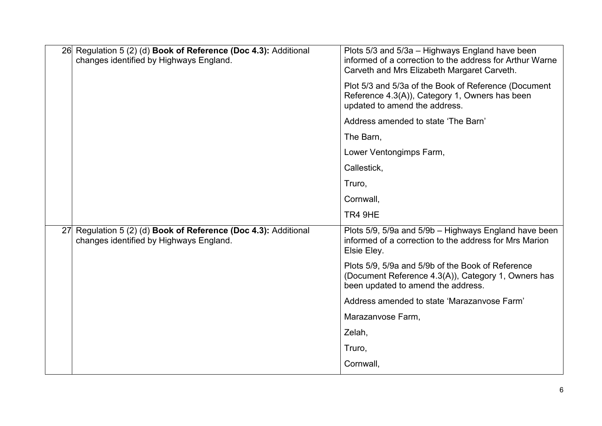| 26 Regulation 5 (2) (d) <b>Book of Reference (Doc 4.3):</b> Additional<br>changes identified by Highways England. | Plots 5/3 and 5/3a - Highways England have been<br>informed of a correction to the address for Arthur Warne<br>Carveth and Mrs Elizabeth Margaret Carveth. |
|-------------------------------------------------------------------------------------------------------------------|------------------------------------------------------------------------------------------------------------------------------------------------------------|
|                                                                                                                   | Plot 5/3 and 5/3a of the Book of Reference (Document<br>Reference 4.3(A)), Category 1, Owners has been<br>updated to amend the address.                    |
|                                                                                                                   | Address amended to state 'The Barn'                                                                                                                        |
|                                                                                                                   | The Barn,                                                                                                                                                  |
|                                                                                                                   | Lower Ventongimps Farm,                                                                                                                                    |
|                                                                                                                   | Callestick,                                                                                                                                                |
|                                                                                                                   | Truro,                                                                                                                                                     |
|                                                                                                                   | Cornwall,                                                                                                                                                  |
|                                                                                                                   | TR4 9HE                                                                                                                                                    |
| 27 Regulation 5 (2) (d) <b>Book of Reference (Doc 4.3):</b> Additional<br>changes identified by Highways England. | Plots 5/9, 5/9a and 5/9b - Highways England have been<br>informed of a correction to the address for Mrs Marion<br>Elsie Eley.                             |
|                                                                                                                   | Plots 5/9, 5/9a and 5/9b of the Book of Reference<br>(Document Reference 4.3(A)), Category 1, Owners has<br>been updated to amend the address.             |
|                                                                                                                   | Address amended to state 'Marazanyose Farm'                                                                                                                |
|                                                                                                                   | Marazanvose Farm,                                                                                                                                          |
|                                                                                                                   | Zelah,                                                                                                                                                     |
|                                                                                                                   | Truro,                                                                                                                                                     |
|                                                                                                                   | Cornwall,                                                                                                                                                  |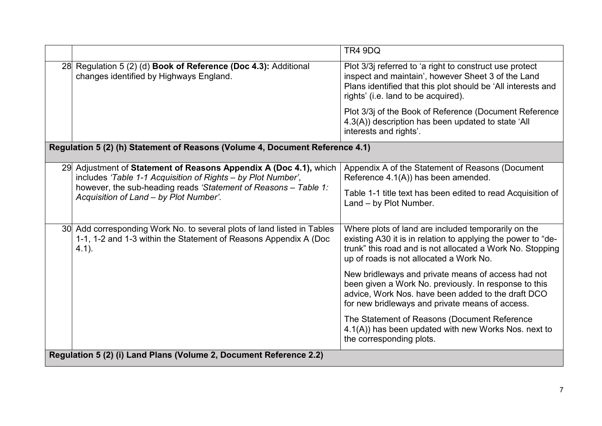|                                                                                                                                                                                                                                                | TR4 9DQ                                                                                                                                                                                                                     |  |  |
|------------------------------------------------------------------------------------------------------------------------------------------------------------------------------------------------------------------------------------------------|-----------------------------------------------------------------------------------------------------------------------------------------------------------------------------------------------------------------------------|--|--|
| 28 Regulation 5 (2) (d) Book of Reference (Doc 4.3): Additional<br>changes identified by Highways England.                                                                                                                                     | Plot 3/3j referred to 'a right to construct use protect<br>inspect and maintain', however Sheet 3 of the Land<br>Plans identified that this plot should be 'All interests and<br>rights' (i.e. land to be acquired).        |  |  |
|                                                                                                                                                                                                                                                | Plot 3/3j of the Book of Reference (Document Reference<br>4.3(A)) description has been updated to state 'All<br>interests and rights'.                                                                                      |  |  |
| Regulation 5 (2) (h) Statement of Reasons (Volume 4, Document Reference 4.1)                                                                                                                                                                   |                                                                                                                                                                                                                             |  |  |
| 29 Adjustment of Statement of Reasons Appendix A (Doc 4.1), which<br>includes 'Table 1-1 Acquisition of Rights - by Plot Number',<br>however, the sub-heading reads 'Statement of Reasons - Table 1:<br>Acquisition of Land - by Plot Number'. | Appendix A of the Statement of Reasons (Document<br>Reference 4.1(A)) has been amended.                                                                                                                                     |  |  |
|                                                                                                                                                                                                                                                | Table 1-1 title text has been edited to read Acquisition of<br>Land - by Plot Number.                                                                                                                                       |  |  |
| 30 Add corresponding Work No. to several plots of land listed in Tables<br>1-1, 1-2 and 1-3 within the Statement of Reasons Appendix A (Doc<br>$4.1$ ).                                                                                        | Where plots of land are included temporarily on the<br>existing A30 it is in relation to applying the power to "de-<br>trunk" this road and is not allocated a Work No. Stopping<br>up of roads is not allocated a Work No. |  |  |
|                                                                                                                                                                                                                                                | New bridleways and private means of access had not<br>been given a Work No. previously. In response to this<br>advice, Work Nos. have been added to the draft DCO<br>for new bridleways and private means of access.        |  |  |
|                                                                                                                                                                                                                                                | The Statement of Reasons (Document Reference<br>4.1(A)) has been updated with new Works Nos. next to<br>the corresponding plots.                                                                                            |  |  |
| Regulation 5 (2) (i) Land Plans (Volume 2, Document Reference 2.2)                                                                                                                                                                             |                                                                                                                                                                                                                             |  |  |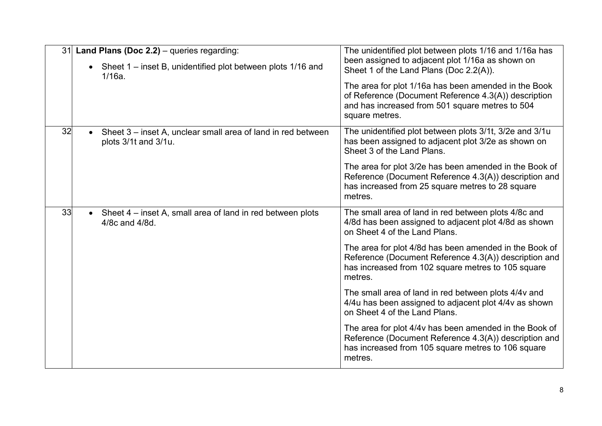|    | 31 Land Plans (Doc 2.2) – queries regarding:<br>• Sheet $1$ – inset B, unidentified plot between plots $1/16$ and<br>$1/16a$ . | The unidentified plot between plots 1/16 and 1/16a has<br>been assigned to adjacent plot 1/16a as shown on<br>Sheet 1 of the Land Plans (Doc 2.2(A)).                             |
|----|--------------------------------------------------------------------------------------------------------------------------------|-----------------------------------------------------------------------------------------------------------------------------------------------------------------------------------|
|    |                                                                                                                                | The area for plot 1/16a has been amended in the Book<br>of Reference (Document Reference 4.3(A)) description<br>and has increased from 501 square metres to 504<br>square metres. |
| 32 | Sheet 3 – inset A, unclear small area of land in red between<br>plots 3/1t and 3/1u.                                           | The unidentified plot between plots 3/1t, 3/2e and 3/1u<br>has been assigned to adjacent plot 3/2e as shown on<br>Sheet 3 of the Land Plans.                                      |
|    |                                                                                                                                | The area for plot 3/2e has been amended in the Book of<br>Reference (Document Reference 4.3(A)) description and<br>has increased from 25 square metres to 28 square<br>metres.    |
| 33 | • Sheet $4$ – inset A, small area of land in red between plots<br>4/8c and 4/8d.                                               | The small area of land in red between plots 4/8c and<br>4/8d has been assigned to adjacent plot 4/8d as shown<br>on Sheet 4 of the Land Plans.                                    |
|    |                                                                                                                                | The area for plot 4/8d has been amended in the Book of<br>Reference (Document Reference 4.3(A)) description and<br>has increased from 102 square metres to 105 square<br>metres.  |
|    |                                                                                                                                | The small area of land in red between plots 4/4v and<br>4/4u has been assigned to adjacent plot 4/4v as shown<br>on Sheet 4 of the Land Plans.                                    |
|    |                                                                                                                                | The area for plot 4/4v has been amended in the Book of<br>Reference (Document Reference 4.3(A)) description and<br>has increased from 105 square metres to 106 square<br>metres.  |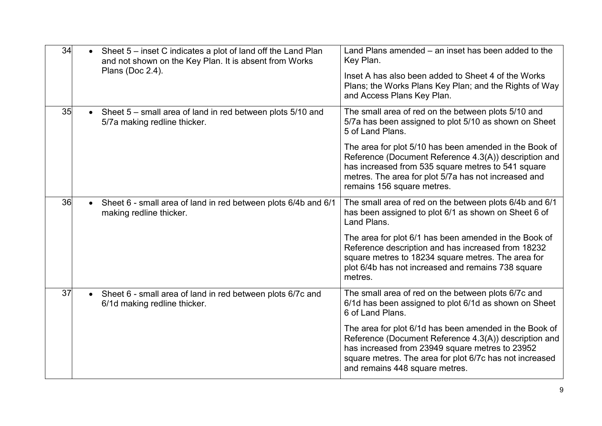| 34 | Sheet 5 – inset C indicates a plot of land off the Land Plan<br>$\bullet$<br>and not shown on the Key Plan. It is absent from Works<br>Plans (Doc 2.4). | Land Plans amended – an inset has been added to the<br>Key Plan.<br>Inset A has also been added to Sheet 4 of the Works<br>Plans; the Works Plans Key Plan; and the Rights of Way<br>and Access Plans Key Plan.                                                 |
|----|---------------------------------------------------------------------------------------------------------------------------------------------------------|-----------------------------------------------------------------------------------------------------------------------------------------------------------------------------------------------------------------------------------------------------------------|
| 35 | Sheet 5 – small area of land in red between plots 5/10 and<br>5/7a making redline thicker.                                                              | The small area of red on the between plots 5/10 and<br>5/7a has been assigned to plot 5/10 as shown on Sheet<br>5 of Land Plans.                                                                                                                                |
|    |                                                                                                                                                         | The area for plot 5/10 has been amended in the Book of<br>Reference (Document Reference 4.3(A)) description and<br>has increased from 535 square metres to 541 square<br>metres. The area for plot 5/7a has not increased and<br>remains 156 square metres.     |
| 36 | Sheet 6 - small area of land in red between plots 6/4b and 6/1<br>$\bullet$<br>making redline thicker.                                                  | The small area of red on the between plots 6/4b and 6/1<br>has been assigned to plot 6/1 as shown on Sheet 6 of<br>Land Plans.                                                                                                                                  |
|    |                                                                                                                                                         | The area for plot 6/1 has been amended in the Book of<br>Reference description and has increased from 18232<br>square metres to 18234 square metres. The area for<br>plot 6/4b has not increased and remains 738 square<br>metres.                              |
| 37 | • Sheet 6 - small area of land in red between plots 6/7c and<br>6/1d making redline thicker.                                                            | The small area of red on the between plots 6/7c and<br>6/1d has been assigned to plot 6/1d as shown on Sheet<br>6 of Land Plans.                                                                                                                                |
|    |                                                                                                                                                         | The area for plot 6/1d has been amended in the Book of<br>Reference (Document Reference 4.3(A)) description and<br>has increased from 23949 square metres to 23952<br>square metres. The area for plot 6/7c has not increased<br>and remains 448 square metres. |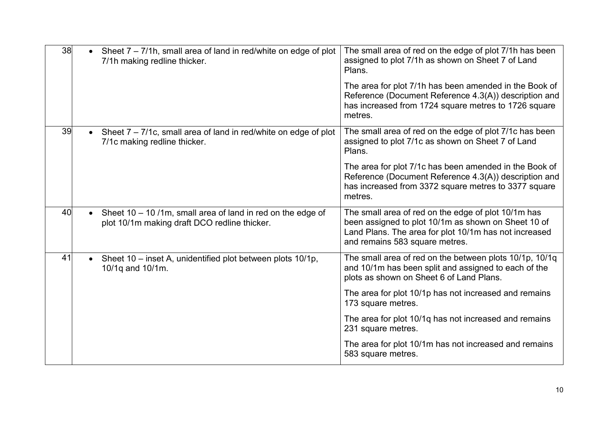| 38 |           | • Sheet $7 - 7/1$ h, small area of land in red/white on edge of plot<br>7/1h making redline thicker.        | The small area of red on the edge of plot 7/1h has been<br>assigned to plot 7/1h as shown on Sheet 7 of Land<br>Plans.                                                                                |
|----|-----------|-------------------------------------------------------------------------------------------------------------|-------------------------------------------------------------------------------------------------------------------------------------------------------------------------------------------------------|
|    |           |                                                                                                             | The area for plot 7/1h has been amended in the Book of<br>Reference (Document Reference 4.3(A)) description and<br>has increased from 1724 square metres to 1726 square<br>metres.                    |
| 39 |           | Sheet 7 – 7/1c, small area of land in red/white on edge of plot<br>7/1c making redline thicker.             | The small area of red on the edge of plot 7/1c has been<br>assigned to plot 7/1c as shown on Sheet 7 of Land<br>Plans.                                                                                |
|    |           |                                                                                                             | The area for plot 7/1c has been amended in the Book of<br>Reference (Document Reference 4.3(A)) description and<br>has increased from 3372 square metres to 3377 square<br>metres.                    |
| 40 |           | Sheet 10 - 10 /1m, small area of land in red on the edge of<br>plot 10/1m making draft DCO redline thicker. | The small area of red on the edge of plot 10/1m has<br>been assigned to plot 10/1m as shown on Sheet 10 of<br>Land Plans. The area for plot 10/1m has not increased<br>and remains 583 square metres. |
| 41 | $\bullet$ | Sheet 10 – inset A, unidentified plot between plots 10/1p,<br>10/1q and 10/1m.                              | The small area of red on the between plots 10/1p, 10/1q<br>and 10/1m has been split and assigned to each of the<br>plots as shown on Sheet 6 of Land Plans.                                           |
|    |           |                                                                                                             | The area for plot 10/1p has not increased and remains<br>173 square metres.                                                                                                                           |
|    |           |                                                                                                             | The area for plot 10/1q has not increased and remains<br>231 square metres.                                                                                                                           |
|    |           |                                                                                                             | The area for plot 10/1m has not increased and remains<br>583 square metres.                                                                                                                           |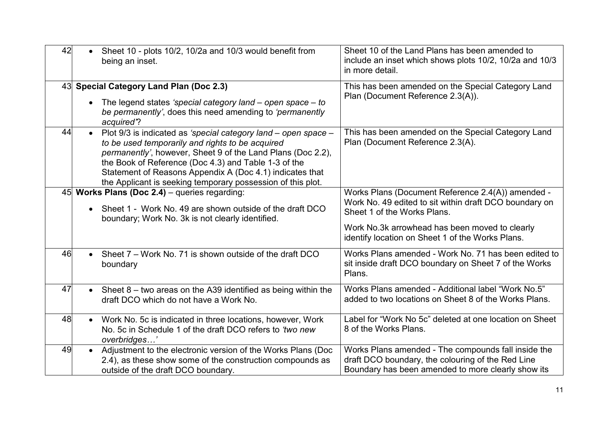| 42 | Sheet 10 - plots 10/2, 10/2a and 10/3 would benefit from<br>$\bullet$<br>being an inset.                                                                                                                                                                                                                                                                                          | Sheet 10 of the Land Plans has been amended to<br>include an inset which shows plots 10/2, 10/2a and 10/3<br>in more detail.                                                                                                                     |
|----|-----------------------------------------------------------------------------------------------------------------------------------------------------------------------------------------------------------------------------------------------------------------------------------------------------------------------------------------------------------------------------------|--------------------------------------------------------------------------------------------------------------------------------------------------------------------------------------------------------------------------------------------------|
|    | 43 Special Category Land Plan (Doc 2.3)<br>The legend states 'special category land $-$ open space $-$ to<br>be permanently', does this need amending to 'permanently'<br>acquired?                                                                                                                                                                                               | This has been amended on the Special Category Land<br>Plan (Document Reference 2.3(A)).                                                                                                                                                          |
| 44 | Plot 9/3 is indicated as 'special category land - open space -<br>$\bullet$<br>to be used temporarily and rights to be acquired<br>permanently', however, Sheet 9 of the Land Plans (Doc 2.2),<br>the Book of Reference (Doc 4.3) and Table 1-3 of the<br>Statement of Reasons Appendix A (Doc 4.1) indicates that<br>the Applicant is seeking temporary possession of this plot. | This has been amended on the Special Category Land<br>Plan (Document Reference 2.3(A).                                                                                                                                                           |
|    | 45 Works Plans (Doc 2.4) - queries regarding:<br>Sheet 1 - Work No. 49 are shown outside of the draft DCO<br>boundary; Work No. 3k is not clearly identified.                                                                                                                                                                                                                     | Works Plans (Document Reference 2.4(A)) amended -<br>Work No. 49 edited to sit within draft DCO boundary on<br>Sheet 1 of the Works Plans.<br>Work No.3k arrowhead has been moved to clearly<br>identify location on Sheet 1 of the Works Plans. |
| 46 | Sheet 7 – Work No. 71 is shown outside of the draft DCO<br>$\bullet$<br>boundary                                                                                                                                                                                                                                                                                                  | Works Plans amended - Work No. 71 has been edited to<br>sit inside draft DCO boundary on Sheet 7 of the Works<br>Plans.                                                                                                                          |
| 47 | Sheet $8 -$ two areas on the A39 identified as being within the<br>$\bullet$<br>draft DCO which do not have a Work No.                                                                                                                                                                                                                                                            | Works Plans amended - Additional label "Work No.5"<br>added to two locations on Sheet 8 of the Works Plans.                                                                                                                                      |
| 48 | Work No. 5c is indicated in three locations, however, Work<br>$\bullet$<br>No. 5c in Schedule 1 of the draft DCO refers to 'two new<br>overbridges'                                                                                                                                                                                                                               | Label for "Work No 5c" deleted at one location on Sheet<br>8 of the Works Plans.                                                                                                                                                                 |
| 49 | Adjustment to the electronic version of the Works Plans (Doc<br>2.4), as these show some of the construction compounds as<br>outside of the draft DCO boundary.                                                                                                                                                                                                                   | Works Plans amended - The compounds fall inside the<br>draft DCO boundary, the colouring of the Red Line<br>Boundary has been amended to more clearly show its                                                                                   |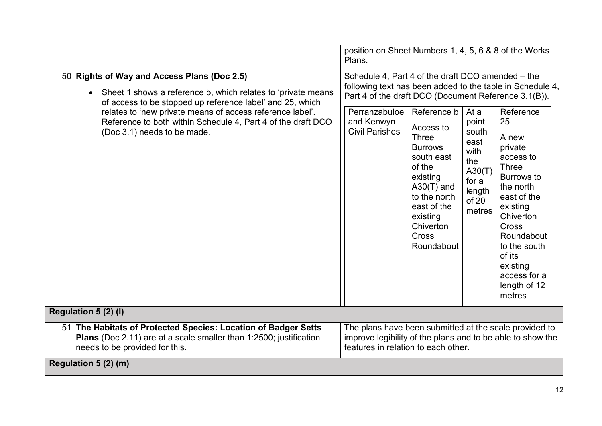|                                                                                                                                                                                                                                                    | position on Sheet Numbers 1, 4, 5, 6 & 8 of the Works<br>Plans.                                                                                                                                                             |                                                                                                                                                                                |                                                                                       |                                                                                                                                                                                                                                      |  |
|----------------------------------------------------------------------------------------------------------------------------------------------------------------------------------------------------------------------------------------------------|-----------------------------------------------------------------------------------------------------------------------------------------------------------------------------------------------------------------------------|--------------------------------------------------------------------------------------------------------------------------------------------------------------------------------|---------------------------------------------------------------------------------------|--------------------------------------------------------------------------------------------------------------------------------------------------------------------------------------------------------------------------------------|--|
| 50 Rights of Way and Access Plans (Doc 2.5)<br>Sheet 1 shows a reference b, which relates to 'private means<br>$\bullet$<br>of access to be stopped up reference label' and 25, which<br>relates to 'new private means of access reference label'. | Schedule 4, Part 4 of the draft DCO amended - the<br>following text has been added to the table in Schedule 4,<br>Part 4 of the draft DCO (Document Reference 3.1(B)).<br>Perranzabuloe<br>Reference b<br>Reference<br>At a |                                                                                                                                                                                |                                                                                       |                                                                                                                                                                                                                                      |  |
| Reference to both within Schedule 4, Part 4 of the draft DCO<br>(Doc 3.1) needs to be made.                                                                                                                                                        | and Kenwyn<br><b>Civil Parishes</b>                                                                                                                                                                                         | Access to<br>Three<br><b>Burrows</b><br>south east<br>of the<br>existing<br>$A30(T)$ and<br>to the north<br>east of the<br>existing<br>Chiverton<br><b>Cross</b><br>Roundabout | point<br>south<br>east<br>with<br>the<br>A30(T)<br>for a<br>length<br>of 20<br>metres | 25<br>A new<br>private<br>access to<br><b>Three</b><br>Burrows to<br>the north<br>east of the<br>existing<br>Chiverton<br><b>Cross</b><br>Roundabout<br>to the south<br>of its<br>existing<br>access for a<br>length of 12<br>metres |  |
| Regulation 5 (2) (I)                                                                                                                                                                                                                               |                                                                                                                                                                                                                             |                                                                                                                                                                                |                                                                                       |                                                                                                                                                                                                                                      |  |
| 51 The Habitats of Protected Species: Location of Badger Setts<br>Plans (Doc 2.11) are at a scale smaller than 1:2500; justification<br>needs to be provided for this.                                                                             | The plans have been submitted at the scale provided to<br>improve legibility of the plans and to be able to show the<br>features in relation to each other.                                                                 |                                                                                                                                                                                |                                                                                       |                                                                                                                                                                                                                                      |  |
| Regulation 5 (2) (m)                                                                                                                                                                                                                               |                                                                                                                                                                                                                             |                                                                                                                                                                                |                                                                                       |                                                                                                                                                                                                                                      |  |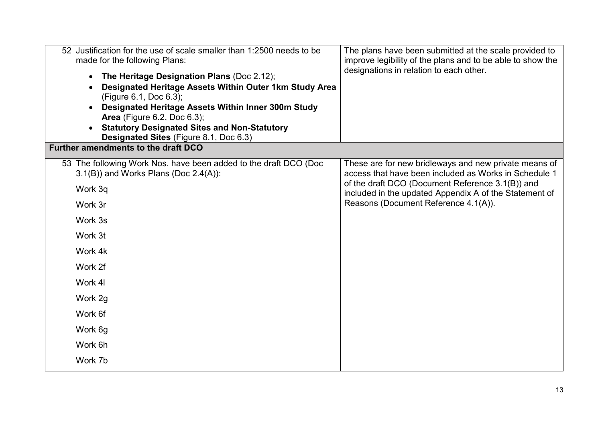| 52 | Justification for the use of scale smaller than 1:2500 needs to be<br>made for the following Plans:<br>The Heritage Designation Plans (Doc 2.12);<br>$\bullet$<br>Designated Heritage Assets Within Outer 1km Study Area<br>(Figure 6.1, Doc 6.3);<br>Designated Heritage Assets Within Inner 300m Study<br><b>Area</b> (Figure 6.2, Doc 6.3);<br><b>Statutory Designated Sites and Non-Statutory</b><br>Designated Sites (Figure 8.1, Doc 6.3) | The plans have been submitted at the scale provided to<br>improve legibility of the plans and to be able to show the<br>designations in relation to each other.                                                                                                      |
|----|-------------------------------------------------------------------------------------------------------------------------------------------------------------------------------------------------------------------------------------------------------------------------------------------------------------------------------------------------------------------------------------------------------------------------------------------------|----------------------------------------------------------------------------------------------------------------------------------------------------------------------------------------------------------------------------------------------------------------------|
|    | Further amendments to the draft DCO                                                                                                                                                                                                                                                                                                                                                                                                             |                                                                                                                                                                                                                                                                      |
|    | 53 The following Work Nos. have been added to the draft DCO (Doc<br>$3.1(B)$ ) and Works Plans (Doc $2.4(A)$ ):<br>Work 3q<br>Work 3r<br>Work 3s<br>Work 3t<br>Work 4k<br>Work 2f<br>Work 4I                                                                                                                                                                                                                                                    | These are for new bridleways and new private means of<br>access that have been included as Works in Schedule 1<br>of the draft DCO (Document Reference 3.1(B)) and<br>included in the updated Appendix A of the Statement of<br>Reasons (Document Reference 4.1(A)). |
|    | Work 2g                                                                                                                                                                                                                                                                                                                                                                                                                                         |                                                                                                                                                                                                                                                                      |
|    | Work 6f                                                                                                                                                                                                                                                                                                                                                                                                                                         |                                                                                                                                                                                                                                                                      |
|    | Work 6g                                                                                                                                                                                                                                                                                                                                                                                                                                         |                                                                                                                                                                                                                                                                      |
|    | Work 6h                                                                                                                                                                                                                                                                                                                                                                                                                                         |                                                                                                                                                                                                                                                                      |
|    | Work 7b                                                                                                                                                                                                                                                                                                                                                                                                                                         |                                                                                                                                                                                                                                                                      |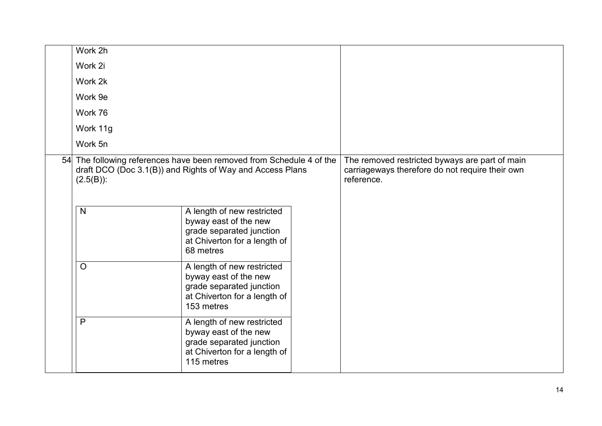| Work 2h      |                                                                                                                                   |                                                                                                                 |
|--------------|-----------------------------------------------------------------------------------------------------------------------------------|-----------------------------------------------------------------------------------------------------------------|
| Work 2i      |                                                                                                                                   |                                                                                                                 |
| Work 2k      |                                                                                                                                   |                                                                                                                 |
| Work 9e      |                                                                                                                                   |                                                                                                                 |
| Work 76      |                                                                                                                                   |                                                                                                                 |
| Work 11g     |                                                                                                                                   |                                                                                                                 |
| Work 5n      |                                                                                                                                   |                                                                                                                 |
| $(2.5(B))$ : | 54 The following references have been removed from Schedule 4 of the<br>draft DCO (Doc 3.1(B)) and Rights of Way and Access Plans | The removed restricted byways are part of main<br>carriageways therefore do not require their own<br>reference. |
| $\mathsf{N}$ | A length of new restricted<br>byway east of the new<br>grade separated junction<br>at Chiverton for a length of<br>68 metres      |                                                                                                                 |
| $\circ$      | A length of new restricted<br>byway east of the new<br>grade separated junction<br>at Chiverton for a length of<br>153 metres     |                                                                                                                 |
| $\mathsf{P}$ | A length of new restricted<br>byway east of the new<br>grade separated junction<br>at Chiverton for a length of<br>115 metres     |                                                                                                                 |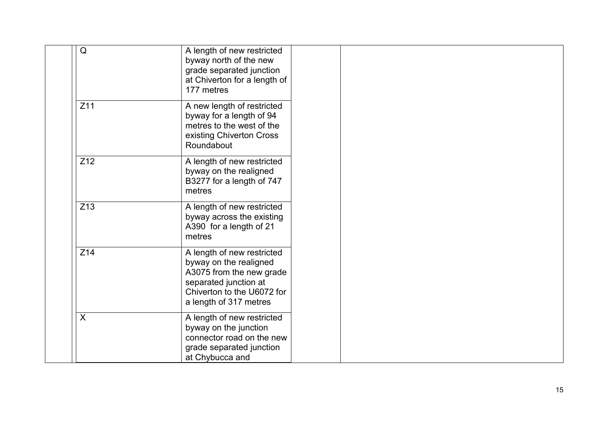| $\mathsf Q$               | A length of new restricted<br>byway north of the new<br>grade separated junction<br>at Chiverton for a length of<br>177 metres                                    |
|---------------------------|-------------------------------------------------------------------------------------------------------------------------------------------------------------------|
| Z11                       | A new length of restricted<br>byway for a length of 94<br>metres to the west of the<br>existing Chiverton Cross<br>Roundabout                                     |
| Z12                       | A length of new restricted<br>byway on the realigned<br>B3277 for a length of 747<br>metres                                                                       |
| Z <sub>13</sub>           | A length of new restricted<br>byway across the existing<br>A390 for a length of 21<br>metres                                                                      |
| Z14                       | A length of new restricted<br>byway on the realigned<br>A3075 from the new grade<br>separated junction at<br>Chiverton to the U6072 for<br>a length of 317 metres |
| $\boldsymbol{\mathsf{X}}$ | A length of new restricted<br>byway on the junction<br>connector road on the new<br>grade separated junction<br>at Chybucca and                                   |